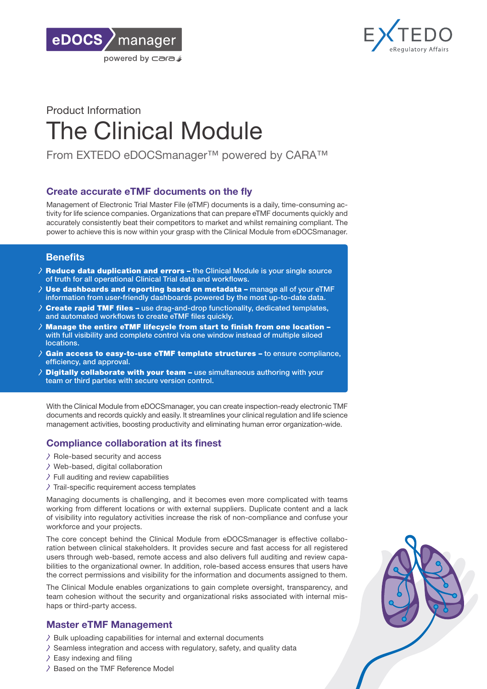



# Product Information The Clinical Module

From EXTEDO eDOCSmanager™ powered by CARA™

## Create accurate eTMF documents on the fly

Management of Electronic Trial Master File (eTMF) documents is a daily, time-consuming activity for life science companies. Organizations that can prepare eTMF documents quickly and accurately consistently beat their competitors to market and whilst remaining compliant. The power to achieve this is now within your grasp with the Clinical Module from eDOCSmanager.

# **Benefits**

- $\lambda$  Reduce data duplication and errors the Clinical Module is your single source of truth for all operational Clinical Trial data and workflows.
- Use dashboards and reporting based on metadata manage all of your eTMF information from user-friendly dashboards powered by the most up-to-date data.
- Create rapid TMF files use drag-and-drop functionality, dedicated templates, and automated workflows to create eTMF files quickly.
- Manage the entire eTMF lifecycle from start to finish from one location with full visibility and complete control via one window instead of multiple siloed locations.
- Gain access to easy-to-use eTMF template structures to ensure compliance, efficiency, and approval.
- **Digitally collaborate with your team –** use simultaneous authoring with your team or third parties with secure version control.

With the Clinical Module from eDOCSmanager, you can create inspection-ready electronic TMF documents and records quickly and easily. It streamlines your clinical regulation and life science management activities, boosting productivity and eliminating human error organization-wide.

# Compliance collaboration at its finest

- $\geq$  Role-based security and access
- Web-based, digital collaboration
- $\ge$  Full auditing and review capabilities
- $\geq$  Trail-specific requirement access templates

Managing documents is challenging, and it becomes even more complicated with teams working from different locations or with external suppliers. Duplicate content and a lack of visibility into regulatory activities increase the risk of non-compliance and confuse your workforce and your projects.

The core concept behind the Clinical Module from eDOCSmanager is effective collaboration between clinical stakeholders. It provides secure and fast access for all registered users through web-based, remote access and also delivers full auditing and review capabilities to the organizational owner. In addition, role-based access ensures that users have the correct permissions and visibility for the information and documents assigned to them.

The Clinical Module enables organizations to gain complete oversight, transparency, and team cohesion without the security and organizational risks associated with internal mishaps or third-party access.

# Master eTMF Management

- $\lambda$  Bulk uploading capabilities for internal and external documents
- $\lambda$  Seamless integration and access with regulatory, safety, and quality data
- $\ge$  Easy indexing and filing
- $\geq$  Based on the TMF Reference Model